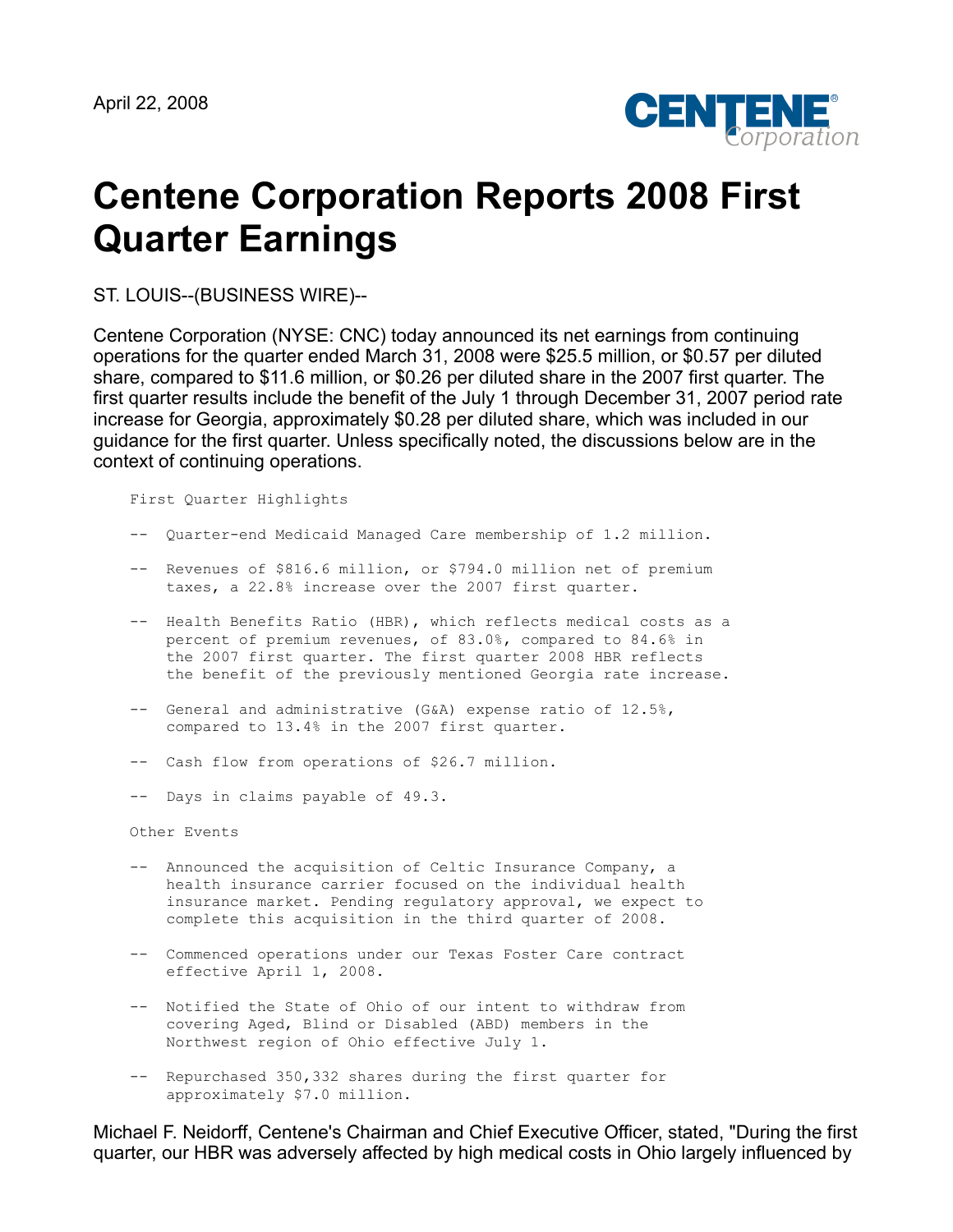

# **Centene Corporation Reports 2008 First Quarter Earnings**

ST. LOUIS--(BUSINESS WIRE)--

Centene Corporation (NYSE: CNC) today announced its net earnings from continuing operations for the quarter ended March 31, 2008 were \$25.5 million, or \$0.57 per diluted share, compared to \$11.6 million, or \$0.26 per diluted share in the 2007 first quarter. The first quarter results include the benefit of the July 1 through December 31, 2007 period rate increase for Georgia, approximately \$0.28 per diluted share, which was included in our guidance for the first quarter. Unless specifically noted, the discussions below are in the context of continuing operations.

First Quarter Highlights

- -- Quarter-end Medicaid Managed Care membership of 1.2 million.
- -- Revenues of \$816.6 million, or \$794.0 million net of premium taxes, a 22.8% increase over the 2007 first quarter.
- -- Health Benefits Ratio (HBR), which reflects medical costs as a percent of premium revenues, of 83.0%, compared to 84.6% in the 2007 first quarter. The first quarter 2008 HBR reflects the benefit of the previously mentioned Georgia rate increase.
- -- General and administrative (G&A) expense ratio of 12.5%, compared to 13.4% in the 2007 first quarter.
- -- Cash flow from operations of \$26.7 million.
- -- Days in claims payable of 49.3.

Other Events

- -- Announced the acquisition of Celtic Insurance Company, a health insurance carrier focused on the individual health insurance market. Pending regulatory approval, we expect to complete this acquisition in the third quarter of 2008.
- -- Commenced operations under our Texas Foster Care contract effective April 1, 2008.
- -- Notified the State of Ohio of our intent to withdraw from covering Aged, Blind or Disabled (ABD) members in the Northwest region of Ohio effective July 1.
- -- Repurchased 350,332 shares during the first quarter for approximately \$7.0 million.

Michael F. Neidorff, Centene's Chairman and Chief Executive Officer, stated, "During the first quarter, our HBR was adversely affected by high medical costs in Ohio largely influenced by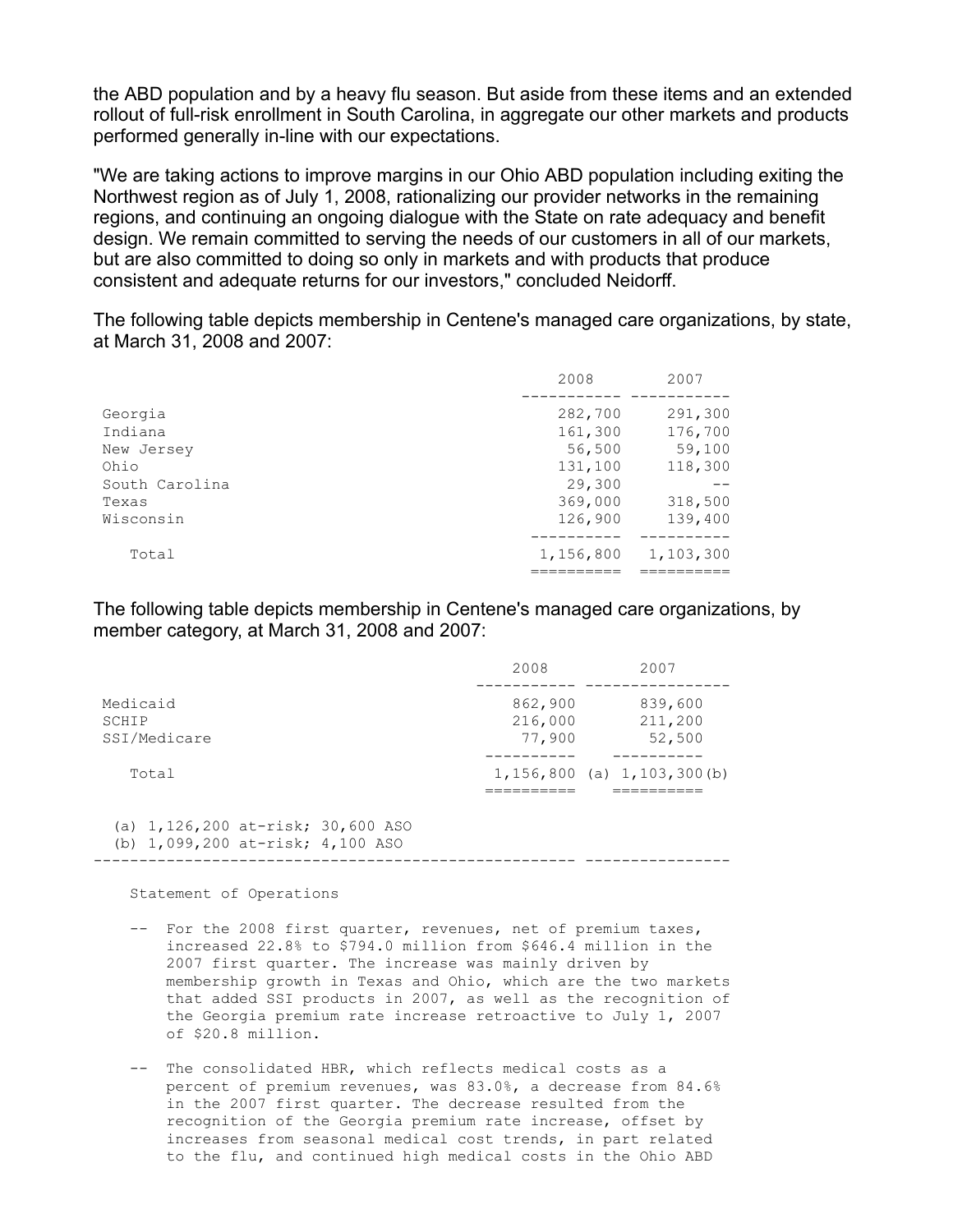the ABD population and by a heavy flu season. But aside from these items and an extended rollout of full-risk enrollment in South Carolina, in aggregate our other markets and products performed generally in-line with our expectations.

"We are taking actions to improve margins in our Ohio ABD population including exiting the Northwest region as of July 1, 2008, rationalizing our provider networks in the remaining regions, and continuing an ongoing dialogue with the State on rate adequacy and benefit design. We remain committed to serving the needs of our customers in all of our markets, but are also committed to doing so only in markets and with products that produce consistent and adequate returns for our investors," concluded Neidorff.

The following table depicts membership in Centene's managed care organizations, by state, at March 31, 2008 and 2007:

|                | 2008      | 2007      |
|----------------|-----------|-----------|
|                |           |           |
| Georgia        | 282,700   | 291,300   |
| Indiana        | 161,300   | 176,700   |
| New Jersey     | 56,500    | 59,100    |
| Ohio           | 131,100   | 118,300   |
| South Carolina | 29,300    |           |
| Texas          | 369,000   | 318,500   |
| Wisconsin      | 126,900   | 139,400   |
| Total          | 1,156,800 | 1,103,300 |
|                |           |           |

The following table depicts membership in Centene's managed care organizations, by member category, at March 31, 2008 and 2007:

|                                                                               | 2008                         | 2007                                |
|-------------------------------------------------------------------------------|------------------------------|-------------------------------------|
| Medicaid<br>SCHIP<br>SSI/Medicare                                             | 862,900<br>216,000<br>77,900 | 839,600<br>211,200<br>52,500        |
| Total                                                                         |                              | $1, 156, 800$ (a) $1, 103, 300$ (b) |
| (a) $1,126,200$ at-risk; $30,600$ ASO<br>(b) $1,099,200$ at-risk; $4,100$ ASO |                              |                                     |

Statement of Operations

- -- For the 2008 first quarter, revenues, net of premium taxes, increased 22.8% to \$794.0 million from \$646.4 million in the 2007 first quarter. The increase was mainly driven by membership growth in Texas and Ohio, which are the two markets that added SSI products in 2007, as well as the recognition of the Georgia premium rate increase retroactive to July 1, 2007 of \$20.8 million.
- -- The consolidated HBR, which reflects medical costs as a percent of premium revenues, was 83.0%, a decrease from 84.6% in the 2007 first quarter. The decrease resulted from the recognition of the Georgia premium rate increase, offset by increases from seasonal medical cost trends, in part related to the flu, and continued high medical costs in the Ohio ABD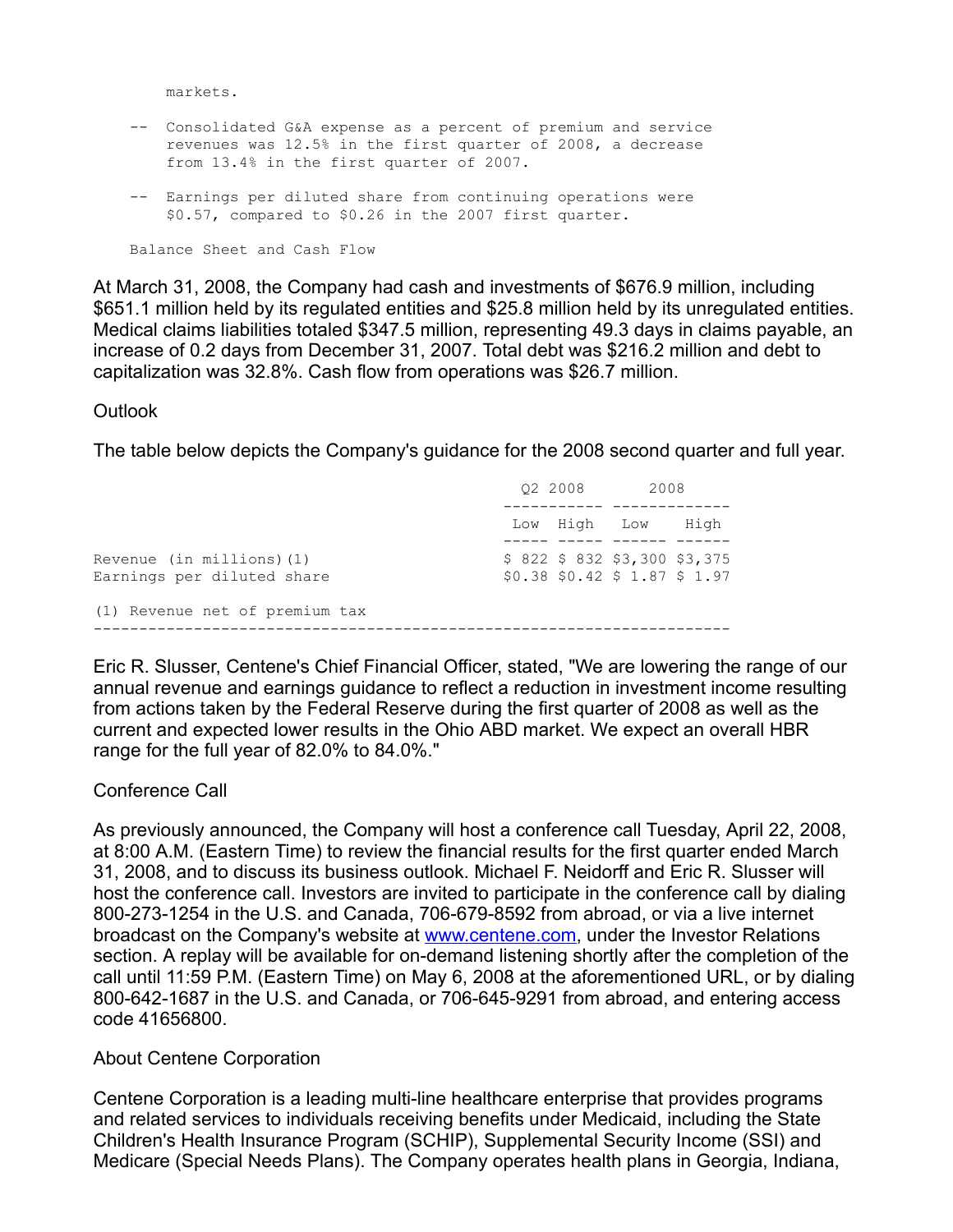markets.

- -- Consolidated G&A expense as a percent of premium and service revenues was 12.5% in the first quarter of 2008, a decrease from 13.4% in the first quarter of 2007.
- -- Earnings per diluted share from continuing operations were \$0.57, compared to \$0.26 in the 2007 first quarter.

Balance Sheet and Cash Flow

At March 31, 2008, the Company had cash and investments of \$676.9 million, including \$651.1 million held by its regulated entities and \$25.8 million held by its unregulated entities. Medical claims liabilities totaled \$347.5 million, representing 49.3 days in claims payable, an increase of 0.2 days from December 31, 2007. Total debt was \$216.2 million and debt to capitalization was 32.8%. Cash flow from operations was \$26.7 million.

# **Outlook**

The table below depicts the Company's guidance for the 2008 second quarter and full year.

|                                                         | 02 2008      |                                                                  | 2008 |
|---------------------------------------------------------|--------------|------------------------------------------------------------------|------|
|                                                         | Low High Low |                                                                  | Hiah |
| Revenue (in millions) (1)<br>Earnings per diluted share |              | $$822$$ \$ 832 \$3,300 \$3,375<br>$$0.38$ \$0.42 \$ 1.87 \$ 1.97 |      |
| (1) Revenue net of premium tax                          |              |                                                                  |      |
|                                                         |              |                                                                  |      |

Eric R. Slusser, Centene's Chief Financial Officer, stated, "We are lowering the range of our annual revenue and earnings guidance to reflect a reduction in investment income resulting from actions taken by the Federal Reserve during the first quarter of 2008 as well as the current and expected lower results in the Ohio ABD market. We expect an overall HBR range for the full year of 82.0% to 84.0%."

# Conference Call

As previously announced, the Company will host a conference call Tuesday, April 22, 2008, at 8:00 A.M. (Eastern Time) to review the financial results for the first quarter ended March 31, 2008, and to discuss its business outlook. Michael F. Neidorff and Eric R. Slusser will host the conference call. Investors are invited to participate in the conference call by dialing 800-273-1254 in the U.S. and Canada, 706-679-8592 from abroad, or via a live internet broadcast on the Company's website at [www.centene.com](http://www.centene.com/), under the Investor Relations section. A replay will be available for on-demand listening shortly after the completion of the call until 11:59 P.M. (Eastern Time) on May 6, 2008 at the aforementioned URL, or by dialing 800-642-1687 in the U.S. and Canada, or 706-645-9291 from abroad, and entering access code 41656800.

About Centene Corporation

Centene Corporation is a leading multi-line healthcare enterprise that provides programs and related services to individuals receiving benefits under Medicaid, including the State Children's Health Insurance Program (SCHIP), Supplemental Security Income (SSI) and Medicare (Special Needs Plans). The Company operates health plans in Georgia, Indiana,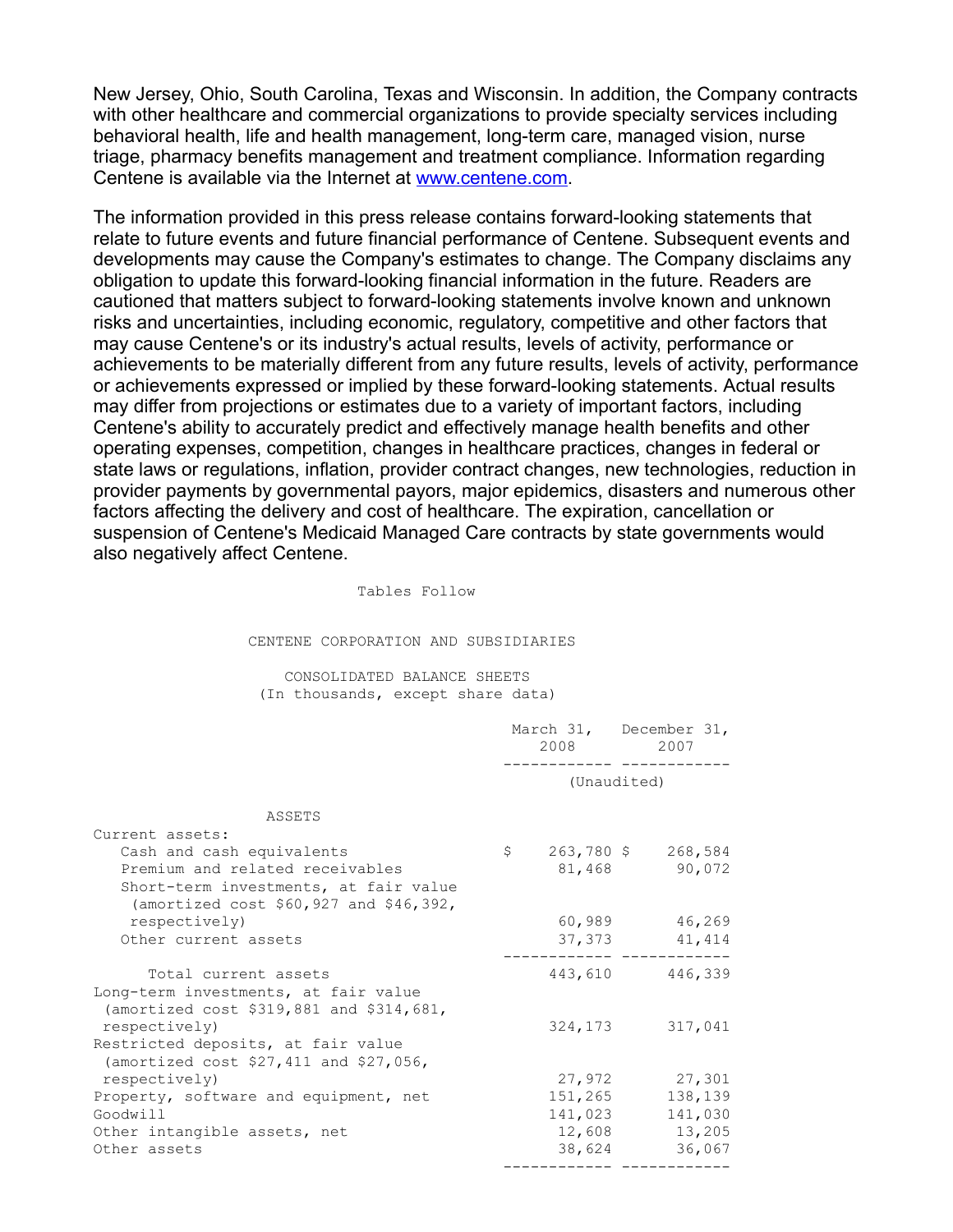New Jersey, Ohio, South Carolina, Texas and Wisconsin. In addition, the Company contracts with other healthcare and commercial organizations to provide specialty services including behavioral health, life and health management, long-term care, managed vision, nurse triage, pharmacy benefits management and treatment compliance. Information regarding Centene is available via the Internet at [www.centene.com](http://www.centene.com/).

The information provided in this press release contains forward-looking statements that relate to future events and future financial performance of Centene. Subsequent events and developments may cause the Company's estimates to change. The Company disclaims any obligation to update this forward-looking financial information in the future. Readers are cautioned that matters subject to forward-looking statements involve known and unknown risks and uncertainties, including economic, regulatory, competitive and other factors that may cause Centene's or its industry's actual results, levels of activity, performance or achievements to be materially different from any future results, levels of activity, performance or achievements expressed or implied by these forward-looking statements. Actual results may differ from projections or estimates due to a variety of important factors, including Centene's ability to accurately predict and effectively manage health benefits and other operating expenses, competition, changes in healthcare practices, changes in federal or state laws or regulations, inflation, provider contract changes, new technologies, reduction in provider payments by governmental payors, major epidemics, disasters and numerous other factors affecting the delivery and cost of healthcare. The expiration, cancellation or suspension of Centene's Medicaid Managed Care contracts by state governments would also negatively affect Centene.

#### Tables Follow

#### CENTENE CORPORATION AND SUBSIDIARIES

#### CONSOLIDATED BALANCE SHEETS (In thousands, except share data)

|                                                                                  | March 31, December 31,<br>2008 |        |  | 2007              |
|----------------------------------------------------------------------------------|--------------------------------|--------|--|-------------------|
|                                                                                  | (Unaudited)                    |        |  |                   |
| ASSETS                                                                           |                                |        |  |                   |
| Current assets:                                                                  |                                |        |  |                   |
| Cash and cash equivalents                                                        | $\mathsf{S}$                   |        |  | 263,780 \$268,584 |
| Premium and related receivables                                                  |                                |        |  | 81,468 90,072     |
| Short-term investments, at fair value<br>(amortized cost \$60,927 and \$46,392,  |                                |        |  |                   |
| respectively)                                                                    |                                |        |  | 60,989 46,269     |
| Other current assets                                                             |                                |        |  | 37, 373 41, 414   |
|                                                                                  |                                |        |  |                   |
| Total current assets                                                             |                                |        |  | 443,610 446,339   |
| Long-term investments, at fair value<br>(amortized cost \$319,881 and \$314,681, |                                |        |  |                   |
| respectively)                                                                    |                                |        |  | 324, 173 317, 041 |
| Restricted deposits, at fair value<br>(amortized cost $$27,411$ and $$27,056$ ,  |                                |        |  |                   |
| respectively)                                                                    |                                |        |  | 27,972 27,301     |
| Property, software and equipment, net                                            |                                |        |  | 151, 265 138, 139 |
| Goodwill                                                                         |                                |        |  | 141,023 141,030   |
| Other intangible assets, net                                                     |                                |        |  | 12,608 13,205     |
| Other assets                                                                     |                                | 38,624 |  | 36,067            |
|                                                                                  |                                |        |  |                   |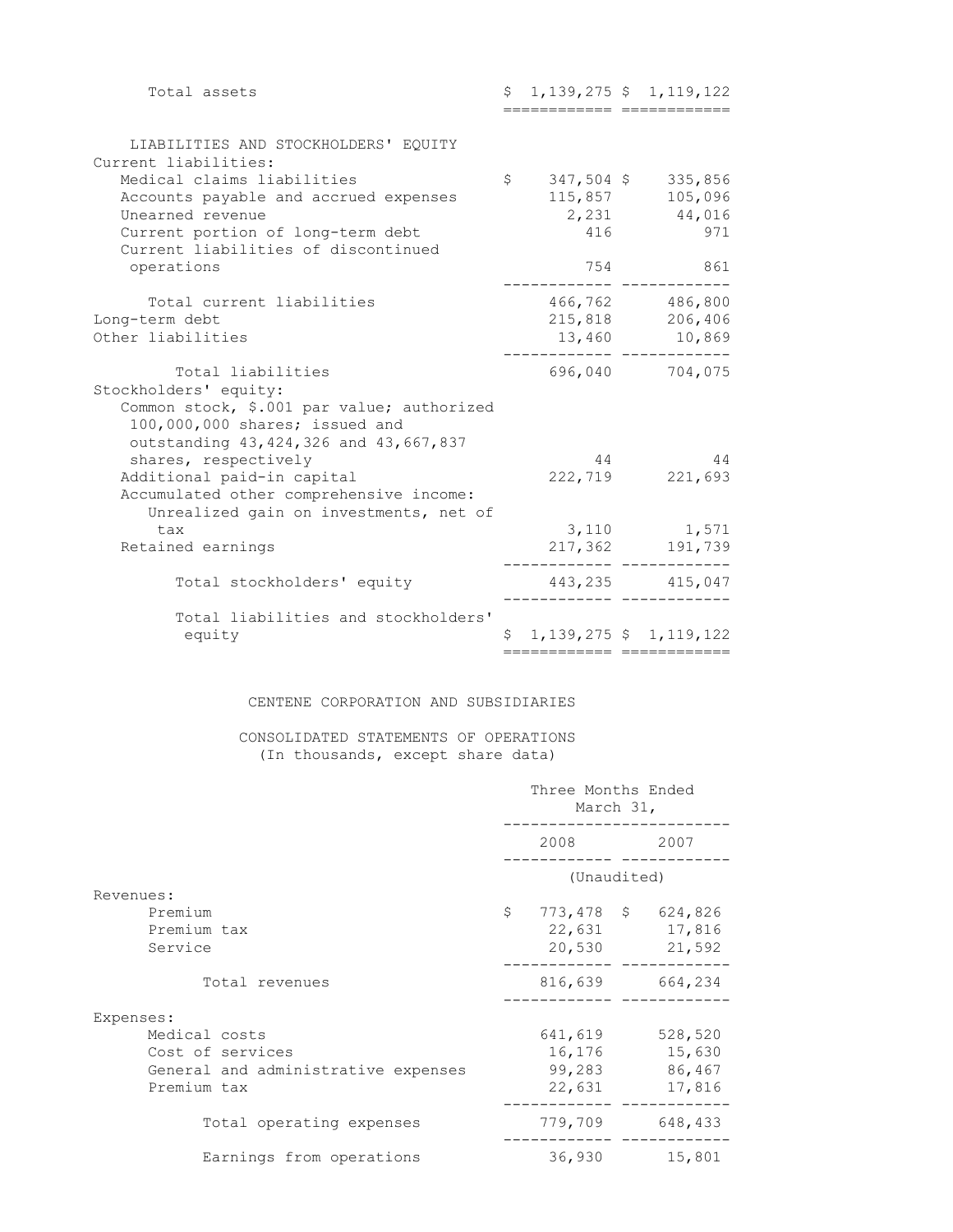| Total assets                                                                 | \$                 |                            | $1,139,275$ \$ 1, 119, 122   |
|------------------------------------------------------------------------------|--------------------|----------------------------|------------------------------|
|                                                                              |                    | ========================== |                              |
| LIABILITIES AND STOCKHOLDERS' EQUITY<br>Current liabilities:                 |                    |                            |                              |
| Medical claims liabilities                                                   |                    |                            | $$347,504$ \$ 335,856        |
| Accounts payable and accrued expenses                                        |                    | 115,857                    | 105,096                      |
| Unearned revenue                                                             |                    |                            | 2,231 44,016                 |
| Current portion of long-term debt<br>Current liabilities of discontinued     |                    | 416                        | 971                          |
| operations                                                                   |                    | 754                        | 861                          |
| Total current liabilities                                                    |                    |                            | 466,762 486,800              |
| Long-term debt                                                               |                    |                            | 215,818 206,406              |
| Other liabilities                                                            |                    |                            | 13,460 10,869                |
| Total liabilities                                                            |                    |                            | 696,040 704,075              |
| Stockholders' equity:                                                        |                    |                            |                              |
| Common stock, \$.001 par value; authorized<br>100,000,000 shares; issued and |                    |                            |                              |
| outstanding 43, 424, 326 and 43, 667, 837<br>shares, respectively            |                    | 44                         | 44                           |
| Additional paid-in capital                                                   |                    | 222,719                    | 221,693                      |
| Accumulated other comprehensive income:                                      |                    |                            |                              |
| Unrealized gain on investments, net of<br>tax                                |                    | 3,110                      | 1,571                        |
| Retained earnings                                                            |                    |                            | 217,362 191,739              |
| Total stockholders' equity                                                   |                    |                            | 443, 235 415, 047            |
| Total liabilities and stockholders'                                          |                    |                            |                              |
| equity                                                                       | $\hat{\mathsf{S}}$ |                            | $1, 139, 275$ \$ 1, 119, 122 |
|                                                                              |                    |                            |                              |

#### CENTENE CORPORATION AND SUBSIDIARIES

## CONSOLIDATED STATEMENTS OF OPERATIONS (In thousands, except share data)

|                                                                                         | Three Months Ended<br>March 31, |                             |  |                                                      |
|-----------------------------------------------------------------------------------------|---------------------------------|-----------------------------|--|------------------------------------------------------|
|                                                                                         | 2008<br>2007                    |                             |  |                                                      |
|                                                                                         | (Unaudited)                     |                             |  |                                                      |
| Revenues:<br>Premium<br>Premium tax<br>Service                                          | \$                              |                             |  | 773,478 \$ 624,826<br>22,631 17,816<br>20,530 21,592 |
| Total revenues                                                                          |                                 |                             |  | 816,639 664,234                                      |
| Expenses:                                                                               |                                 |                             |  |                                                      |
| Medical costs<br>Cost of services<br>General and administrative expenses<br>Premium tax |                                 | 641,619<br>99,283<br>22,631 |  | 528,520<br>16,176 15,630<br>86,467<br>17,816         |
| Total operating expenses                                                                |                                 | 779,709                     |  | 648,433                                              |
| Earnings from operations                                                                |                                 | 36,930                      |  | 15,801                                               |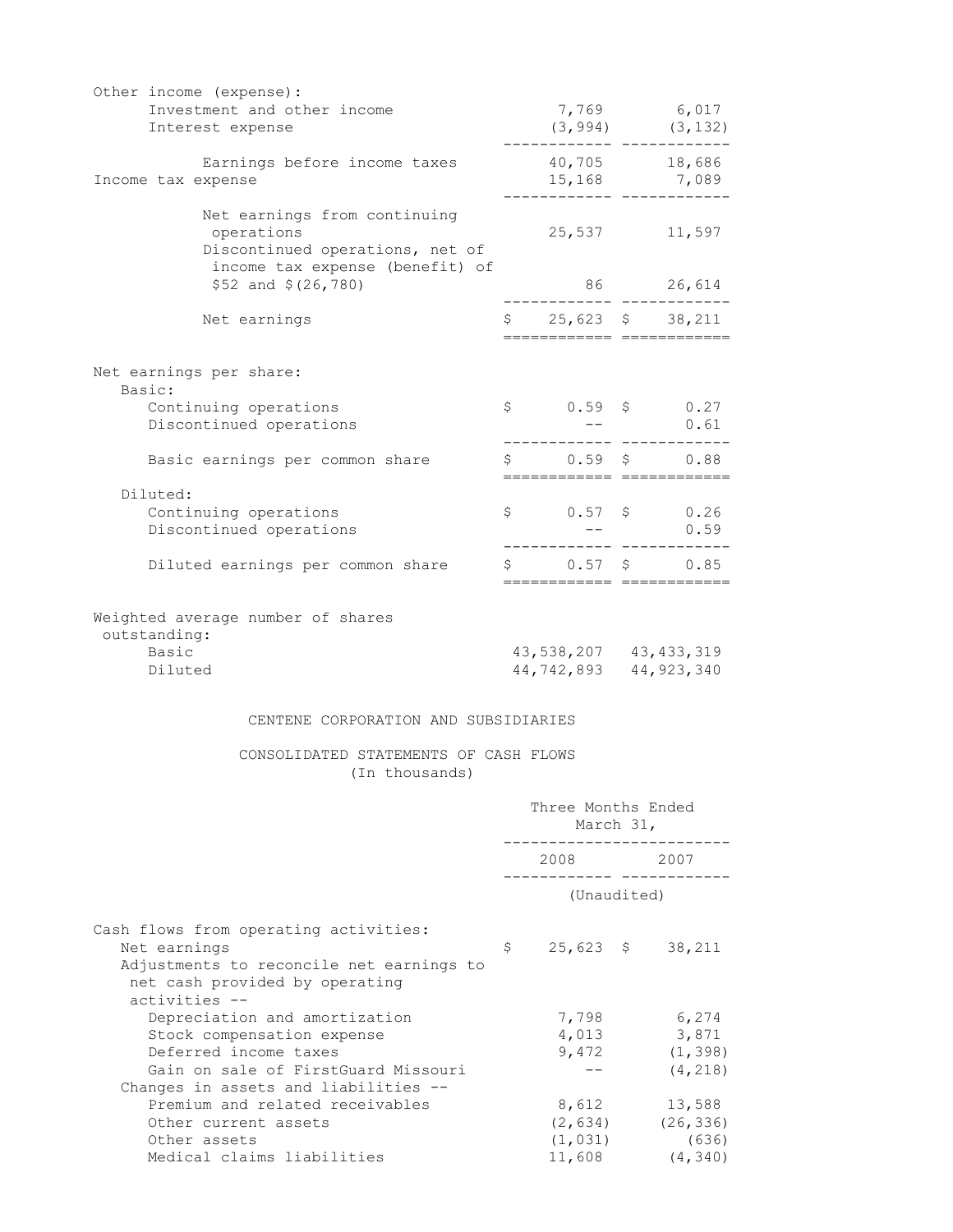| Other income (expense):                          |                                                                                                                                                                                                                                                                                                                                                                                                                                                                     |                                      |
|--------------------------------------------------|---------------------------------------------------------------------------------------------------------------------------------------------------------------------------------------------------------------------------------------------------------------------------------------------------------------------------------------------------------------------------------------------------------------------------------------------------------------------|--------------------------------------|
| Investment and other income<br>Interest expense  |                                                                                                                                                                                                                                                                                                                                                                                                                                                                     | 7,769 6,017<br>$(3, 994)$ $(3, 132)$ |
|                                                  | ------- ----------                                                                                                                                                                                                                                                                                                                                                                                                                                                  |                                      |
| Earnings before income taxes                     |                                                                                                                                                                                                                                                                                                                                                                                                                                                                     | 40,705 18,686                        |
| Income tax expense                               |                                                                                                                                                                                                                                                                                                                                                                                                                                                                     | 15,168 7,089                         |
| Net earnings from continuing                     |                                                                                                                                                                                                                                                                                                                                                                                                                                                                     |                                      |
| operations                                       | 25,537                                                                                                                                                                                                                                                                                                                                                                                                                                                              | 11,597                               |
| Discontinued operations, net of                  |                                                                                                                                                                                                                                                                                                                                                                                                                                                                     |                                      |
| income tax expense (benefit) of                  |                                                                                                                                                                                                                                                                                                                                                                                                                                                                     |                                      |
| $$52$ and $$(26, 780)$                           |                                                                                                                                                                                                                                                                                                                                                                                                                                                                     | 86 26,614                            |
| Net earnings                                     | $$25,623$ \$ 38,211                                                                                                                                                                                                                                                                                                                                                                                                                                                 |                                      |
|                                                  |                                                                                                                                                                                                                                                                                                                                                                                                                                                                     |                                      |
|                                                  |                                                                                                                                                                                                                                                                                                                                                                                                                                                                     |                                      |
| Net earnings per share:                          |                                                                                                                                                                                                                                                                                                                                                                                                                                                                     |                                      |
| Basic:                                           | $$0.59$ \$ 0.27                                                                                                                                                                                                                                                                                                                                                                                                                                                     |                                      |
| Continuing operations<br>Discontinued operations |                                                                                                                                                                                                                                                                                                                                                                                                                                                                     | 0.61                                 |
|                                                  |                                                                                                                                                                                                                                                                                                                                                                                                                                                                     |                                      |
| Basic earnings per common share                  | $$0.59$ \$ 0.88                                                                                                                                                                                                                                                                                                                                                                                                                                                     |                                      |
|                                                  |                                                                                                                                                                                                                                                                                                                                                                                                                                                                     | ==========================           |
| Diluted:                                         | $$0.57$ \$ 0.26                                                                                                                                                                                                                                                                                                                                                                                                                                                     |                                      |
| Continuing operations<br>Discontinued operations | $\frac{1}{2} \frac{1}{2} \left( \frac{1}{2} \right) \left( \frac{1}{2} \right) \left( \frac{1}{2} \right) \left( \frac{1}{2} \right) \left( \frac{1}{2} \right) \left( \frac{1}{2} \right) \left( \frac{1}{2} \right) \left( \frac{1}{2} \right) \left( \frac{1}{2} \right) \left( \frac{1}{2} \right) \left( \frac{1}{2} \right) \left( \frac{1}{2} \right) \left( \frac{1}{2} \right) \left( \frac{1}{2} \right) \left( \frac{1}{2} \right) \left( \frac{1}{2} \$ | 0.59                                 |
|                                                  |                                                                                                                                                                                                                                                                                                                                                                                                                                                                     |                                      |
| Diluted earnings per common share                | $$0.57$ \$ 0.85                                                                                                                                                                                                                                                                                                                                                                                                                                                     |                                      |
|                                                  |                                                                                                                                                                                                                                                                                                                                                                                                                                                                     | ==========================           |
| Weighted average number of shares                |                                                                                                                                                                                                                                                                                                                                                                                                                                                                     |                                      |
| outstanding:                                     |                                                                                                                                                                                                                                                                                                                                                                                                                                                                     |                                      |
| Basic                                            | 43, 538, 207 43, 433, 319                                                                                                                                                                                                                                                                                                                                                                                                                                           |                                      |
| Diluted                                          | 44,742,893 44,923,340                                                                                                                                                                                                                                                                                                                                                                                                                                               |                                      |
|                                                  |                                                                                                                                                                                                                                                                                                                                                                                                                                                                     |                                      |
| CENTENE CORPORATION AND SUBSIDIARIES             |                                                                                                                                                                                                                                                                                                                                                                                                                                                                     |                                      |
|                                                  |                                                                                                                                                                                                                                                                                                                                                                                                                                                                     |                                      |

 CONSOLIDATED STATEMENTS OF CASH FLOWS (In thousands)

|                                                                                                                                                      | Three Months Ended<br>March 31, |                         |  |                                                                          |
|------------------------------------------------------------------------------------------------------------------------------------------------------|---------------------------------|-------------------------|--|--------------------------------------------------------------------------|
|                                                                                                                                                      | 2008 2007                       |                         |  |                                                                          |
|                                                                                                                                                      |                                 | (Unaudited)             |  |                                                                          |
| Cash flows from operating activities:<br>Net earnings<br>Adjustments to reconcile net earnings to<br>net cash provided by operating<br>activities -- | \$                              |                         |  | 25,623 \$ 38,211                                                         |
| Depreciation and amortization<br>Stock compensation expense<br>Deferred income taxes<br>Gain on sale of FirstGuard Missouri                          |                                 | 7,798<br>4,013<br>9,472 |  | 6,274<br>3,871<br>(1, 398)<br>(4, 218)                                   |
| Changes in assets and liabilities --<br>Premium and related receivables<br>Other current assets<br>Other assets<br>Medical claims liabilities        |                                 | 8,612                   |  | 13,588<br>$(2, 634)$ $(26, 336)$<br>$(1, 031)$ (636)<br>$11,608$ (4,340) |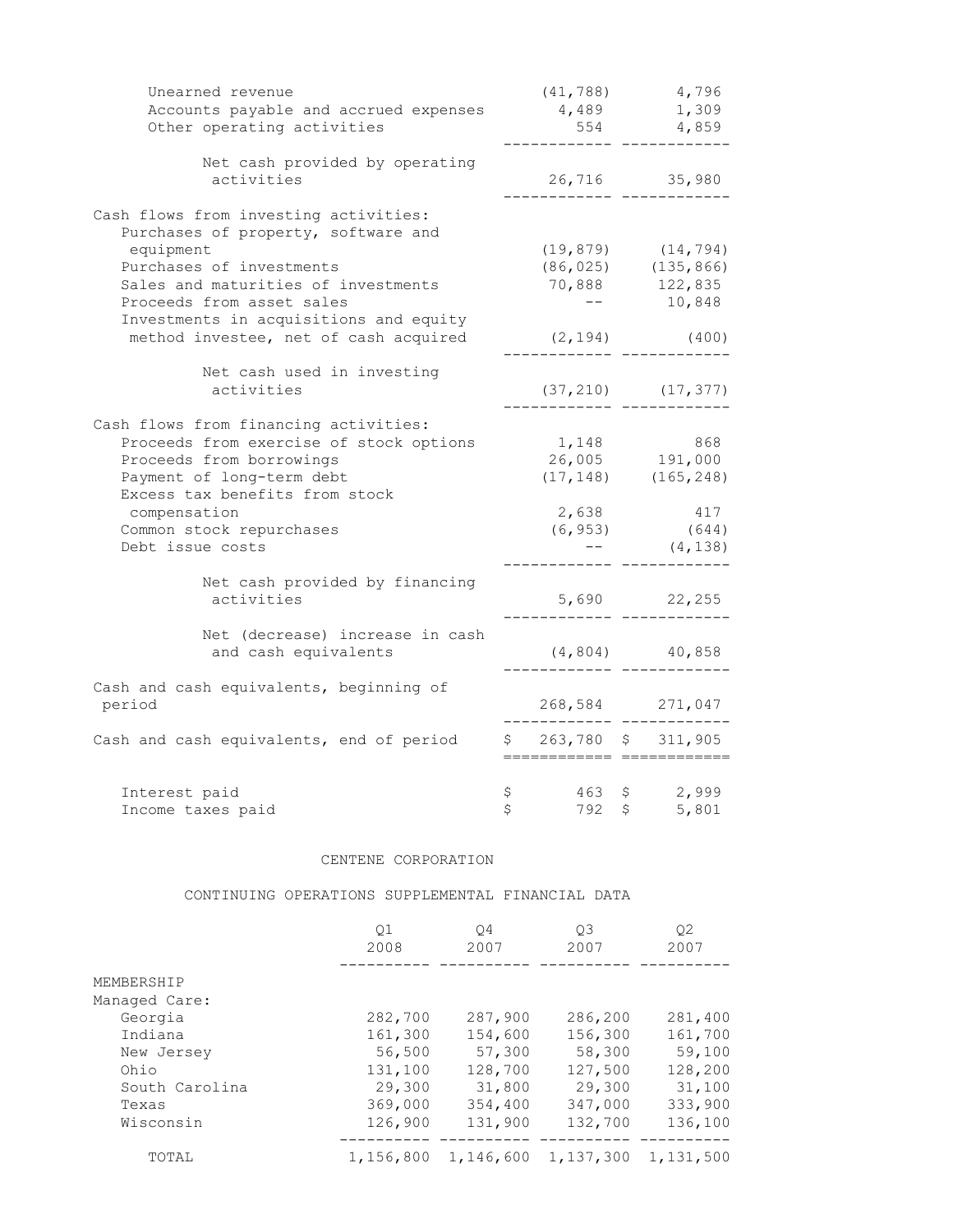| Unearned revenue                         | (41, 788)             |              | 4,796                    |
|------------------------------------------|-----------------------|--------------|--------------------------|
| Accounts payable and accrued expenses    | 4,489                 |              | 1,309                    |
| Other operating activities               | 554                   |              | 4,859                    |
| Net cash provided by operating           |                       |              |                          |
| activities                               |                       |              | 26,716 35,980            |
| Cash flows from investing activities:    |                       |              |                          |
| Purchases of property, software and      |                       |              |                          |
| equipment                                | (19, 879)             |              | (14, 794)                |
| Purchases of investments                 |                       |              | $(86, 025)$ $(135, 866)$ |
| Sales and maturities of investments      |                       |              | 70,888 122,835           |
| Proceeds from asset sales                |                       |              | 10,848                   |
| Investments in acquisitions and equity   |                       |              |                          |
| method investee, net of cash acquired    | (2, 194)              |              | (400)                    |
| Net cash used in investing               |                       |              |                          |
| activities                               |                       |              | $(37, 210)$ $(17, 377)$  |
| Cash flows from financing activities:    |                       |              |                          |
| Proceeds from exercise of stock options  | 1,148                 |              | 868                      |
| Proceeds from borrowings                 |                       |              | 26,005 191,000           |
| Payment of long-term debt                |                       |              | $(17, 148)$ $(165, 248)$ |
| Excess tax benefits from stock           |                       |              |                          |
| compensation                             | 2,638                 |              | 417                      |
| Common stock repurchases                 |                       |              | $(6, 953)$ (644)         |
| Debt issue costs                         |                       |              | (4, 138)                 |
| Net cash provided by financing           |                       |              |                          |
| activities                               |                       |              | 5,690 22,255             |
| Net (decrease) increase in cash          |                       |              |                          |
| and cash equivalents                     |                       |              | $(4, 804)$ $40, 858$     |
|                                          |                       |              |                          |
| Cash and cash equivalents, beginning of  |                       |              |                          |
| period                                   |                       |              | 268,584 271,047          |
| Cash and cash equivalents, end of period | $$263,780$ $$311,905$ |              |                          |
|                                          |                       |              |                          |
| Interest paid                            | \$<br>463             | $\mathsf{S}$ | 2,999                    |
| Income taxes paid                        | \$<br>792             | \$           | 5,801                    |

### CENTENE CORPORATION

#### CONTINUING OPERATIONS SUPPLEMENTAL FINANCIAL DATA

|                | Q1<br>2008 | 04<br>2007 | O3<br>2007 | 02<br>2007 |
|----------------|------------|------------|------------|------------|
| MEMBERSHIP     |            |            |            |            |
| Managed Care:  |            |            |            |            |
| Georgia        | 282,700    | 287,900    | 286,200    | 281,400    |
| Indiana        | 161,300    | 154,600    | 156,300    | 161,700    |
| New Jersey     | 56,500     | 57,300     | 58,300     | 59,100     |
| Ohio           | 131,100    | 128,700    | 127,500    | 128,200    |
| South Carolina | 29,300     | 31,800     | 29,300     | 31,100     |
| Texas          | 369,000    | 354,400    | 347,000    | 333,900    |
| Wisconsin      | 126,900    | 131,900    | 132,700    | 136,100    |
| TOTAL          | 1,156,800  | 1,146,600  | 1,137,300  | 1,131,500  |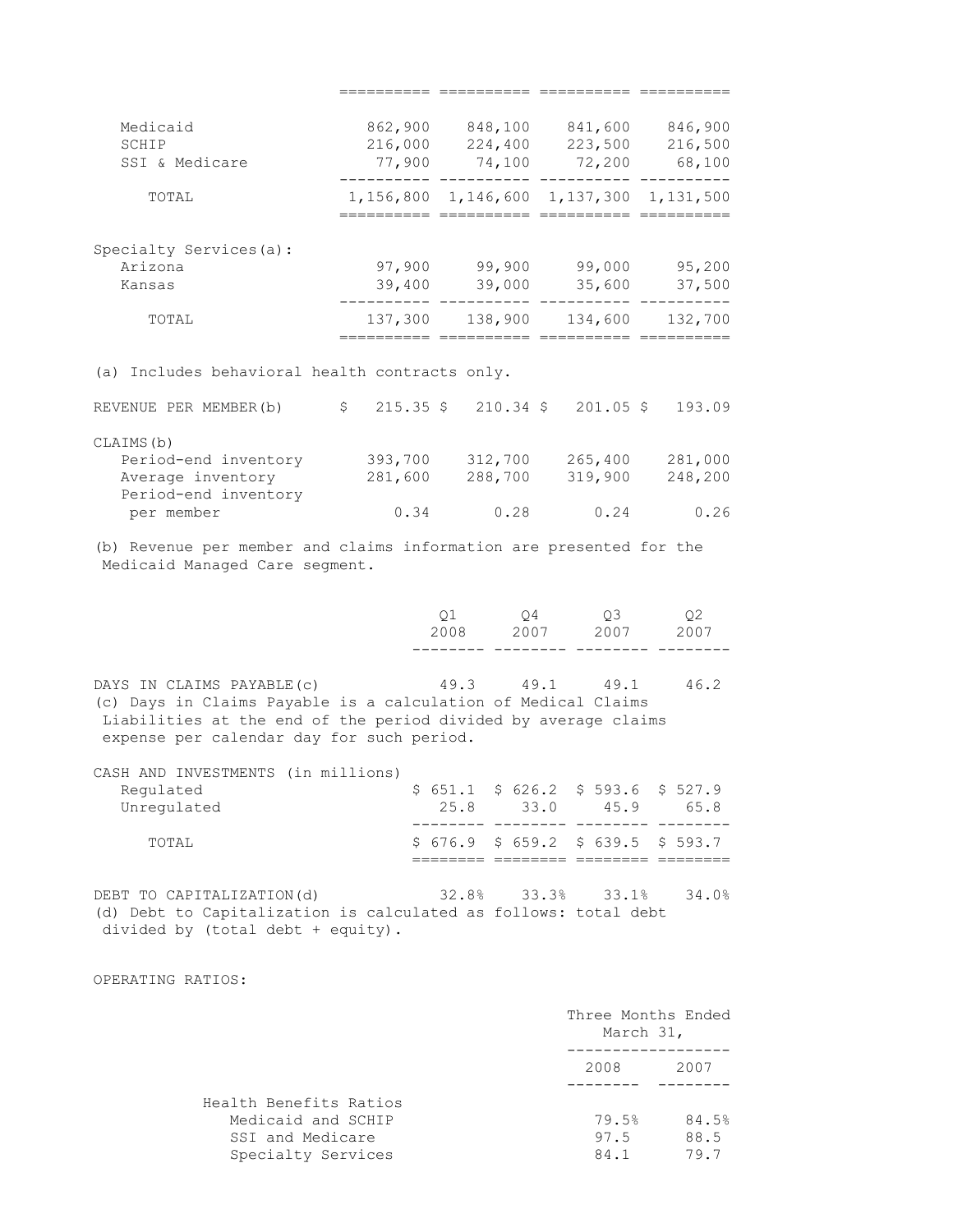| Medicaid<br>SCHIP                                 | 862,900<br>216,000 | 848,100<br>224,400 | 841,600<br>223,500                              | 846,900<br>216,500 |
|---------------------------------------------------|--------------------|--------------------|-------------------------------------------------|--------------------|
| SSI & Medicare                                    | 77,900             | 74,100             | 72,200                                          | 68,100             |
| TOTAL                                             |                    |                    | 1, 156, 800 1, 146, 600 1, 137, 300 1, 131, 500 |                    |
|                                                   |                    |                    |                                                 |                    |
| Specialty Services(a):                            |                    |                    |                                                 |                    |
| Arizona                                           | 97,900             | 99,900             | 99,000                                          | 95,200             |
| Kansas                                            | 39,400             | 39,000             | 35,600                                          | 37,500             |
| TOTAL                                             | 137,300            | 138,900            | 134,600                                         | 132,700            |
|                                                   |                    |                    |                                                 |                    |
| Includes behavioral health contracts only.<br>(a) |                    |                    |                                                 |                    |
| REVENUE PER MEMBER (b)                            |                    |                    | $$215.35 \t$210.34 \t$201.05 \t$$               | 193.09             |
| CLAIMS (b)                                        |                    |                    |                                                 |                    |

| Period-end inventory | 393,700 | 312,700 | 265,400 | 281,000 |
|----------------------|---------|---------|---------|---------|
| Average inventory    | 281,600 | 288,700 | 319,900 | 248,200 |
| Period-end inventory |         |         |         |         |
| per member           | 0.34    | 0.28    | 0.24    | 0.26    |
|                      |         |         |         |         |

(b) Revenue per member and claims information are presented for the Medicaid Managed Care segment.

|  | 01 04 03 02<br>2008 2007 2007 2007 |  |
|--|------------------------------------|--|
|  |                                    |  |

========== ========== ========== ==========

DAYS IN CLAIMS PAYABLE(c) 49.3 49.1 49.1 46.2 (c) Days in Claims Payable is a calculation of Medical Claims Liabilities at the end of the period divided by average claims expense per calendar day for such period.

CASH AND INVESTMENTS (in millions)

| TOTAL.      |      | $$676.9$ $$659.2$ $$639.5$ $$593.7$ |      |      |
|-------------|------|-------------------------------------|------|------|
|             |      |                                     |      |      |
| Unregulated | 25.8 | 33.0                                | 45.9 | 65 B |
| Regulated   |      | $$651.1$ $$626.2$ $$593.6$ $$527.9$ |      |      |

DEBT TO CAPITALIZATION(d) 32.8% 33.3% 33.1% 34.0% (d) Debt to Capitalization is calculated as follows: total debt divided by (total debt + equity).

OPERATING RATIOS:

|                        | Three Months Ended<br>March 31, |       |  |
|------------------------|---------------------------------|-------|--|
|                        | 2008                            | 2007  |  |
| Health Benefits Ratios |                                 |       |  |
| Medicaid and SCHIP     | 79.5%                           | 84.5% |  |
| SSI and Medicare       | 97.5                            | 88.5  |  |
| Specialty Services     | 84.1                            | 79.7  |  |